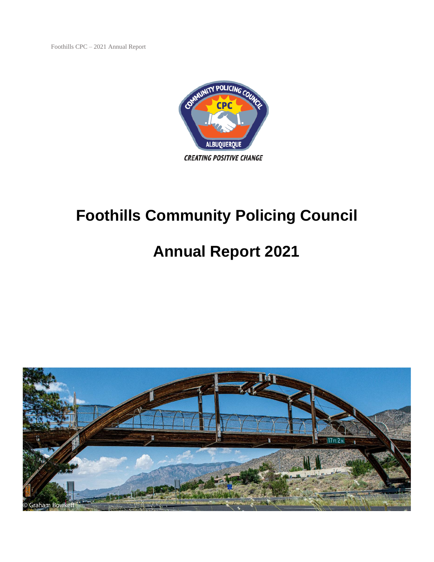Foothills CPC – 2021 Annual Report



# **Foothills Community Policing Council**

# **Annual Report 2021**

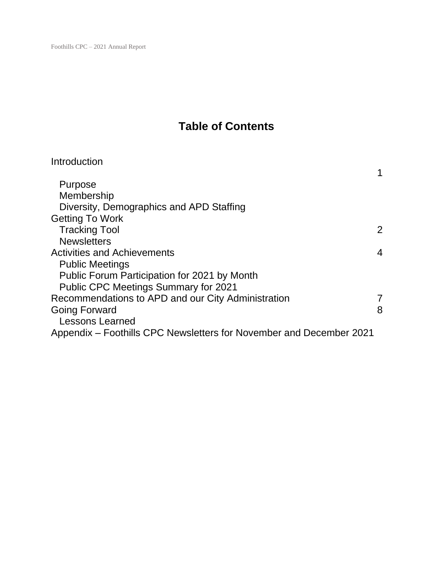# **Table of Contents**

| Introduction                                                        |                |
|---------------------------------------------------------------------|----------------|
| Purpose                                                             |                |
| Membership                                                          |                |
| Diversity, Demographics and APD Staffing                            |                |
| <b>Getting To Work</b>                                              |                |
| <b>Tracking Tool</b>                                                | $\overline{2}$ |
| <b>Newsletters</b>                                                  |                |
| <b>Activities and Achievements</b>                                  | 4              |
| <b>Public Meetings</b>                                              |                |
| Public Forum Participation for 2021 by Month                        |                |
| <b>Public CPC Meetings Summary for 2021</b>                         |                |
| Recommendations to APD and our City Administration                  | 7              |
| <b>Going Forward</b>                                                | 8              |
| <b>Lessons Learned</b>                                              |                |
| Appendix – Foothills CPC Newsletters for November and December 2021 |                |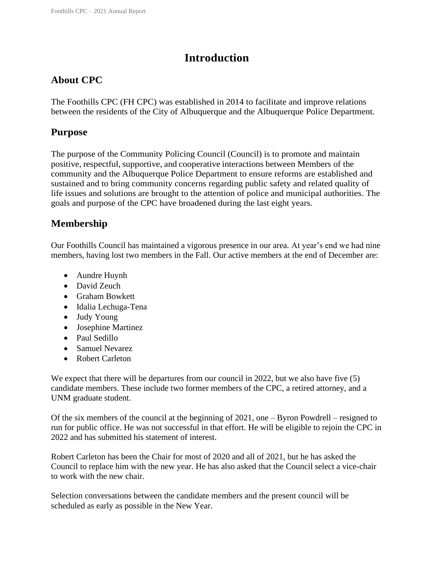# **Introduction**

# **About CPC**

The Foothills CPC (FH CPC) was established in 2014 to facilitate and improve relations between the residents of the City of Albuquerque and the Albuquerque Police Department.

## **Purpose**

The purpose of the Community Policing Council (Council) is to promote and maintain positive, respectful, supportive, and cooperative interactions between Members of the community and the Albuquerque Police Department to ensure reforms are established and sustained and to bring community concerns regarding public safety and related quality of life issues and solutions are brought to the attention of police and municipal authorities. The goals and purpose of the CPC have broadened during the last eight years.

# **Membership**

Our Foothills Council has maintained a vigorous presence in our area. At year's end we had nine members, having lost two members in the Fall. Our active members at the end of December are:

- Aundre Huynh
- David Zeuch
- Graham Bowkett
- Idalia Lechuga-Tena
- Judy Young
- Josephine Martinez
- Paul Sedillo
- Samuel Nevarez
- Robert Carleton

We expect that there will be departures from our council in 2022, but we also have five (5) candidate members. These include two former members of the CPC, a retired attorney, and a UNM graduate student.

Of the six members of the council at the beginning of 2021, one – Byron Powdrell – resigned to run for public office. He was not successful in that effort. He will be eligible to rejoin the CPC in 2022 and has submitted his statement of interest.

Robert Carleton has been the Chair for most of 2020 and all of 2021, but he has asked the Council to replace him with the new year. He has also asked that the Council select a vice-chair to work with the new chair.

Selection conversations between the candidate members and the present council will be scheduled as early as possible in the New Year.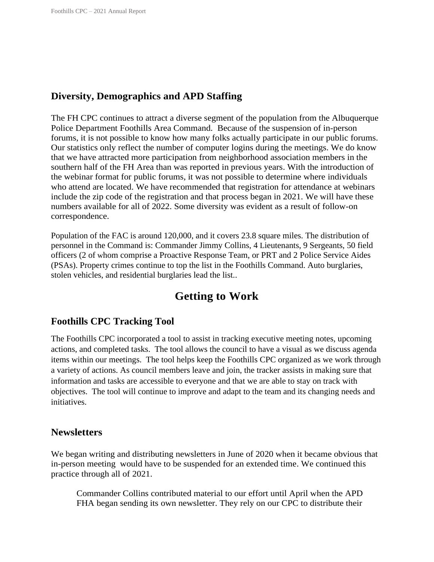## **Diversity, Demographics and APD Staffing**

The FH CPC continues to attract a diverse segment of the population from the Albuquerque Police Department Foothills Area Command. Because of the suspension of in-person forums, it is not possible to know how many folks actually participate in our public forums. Our statistics only reflect the number of computer logins during the meetings. We do know that we have attracted more participation from neighborhood association members in the southern half of the FH Area than was reported in previous years. With the introduction of the webinar format for public forums, it was not possible to determine where individuals who attend are located. We have recommended that registration for attendance at webinars include the zip code of the registration and that process began in 2021. We will have these numbers available for all of 2022. Some diversity was evident as a result of follow-on correspondence.

Population of the FAC is around 120,000, and it covers 23.8 square miles. The distribution of personnel in the Command is: Commander Jimmy Collins, 4 Lieutenants, 9 Sergeants, 50 field officers (2 of whom comprise a Proactive Response Team, or PRT and 2 Police Service Aides (PSAs). Property crimes continue to top the list in the Foothills Command. Auto burglaries, stolen vehicles, and residential burglaries lead the list..

# **Getting to Work**

## **Foothills CPC Tracking Tool**

The Foothills CPC incorporated a tool to assist in tracking executive meeting notes, upcoming actions, and completed tasks. The tool allows the council to have a visual as we discuss agenda items within our meetings. The tool helps keep the Foothills CPC organized as we work through a variety of actions. As council members leave and join, the tracker assists in making sure that information and tasks are accessible to everyone and that we are able to stay on track with objectives. The tool will continue to improve and adapt to the team and its changing needs and initiatives.

#### **Newsletters**

We began writing and distributing newsletters in June of 2020 when it became obvious that in-person meeting would have to be suspended for an extended time. We continued this practice through all of 2021.

Commander Collins contributed material to our effort until April when the APD FHA began sending its own newsletter. They rely on our CPC to distribute their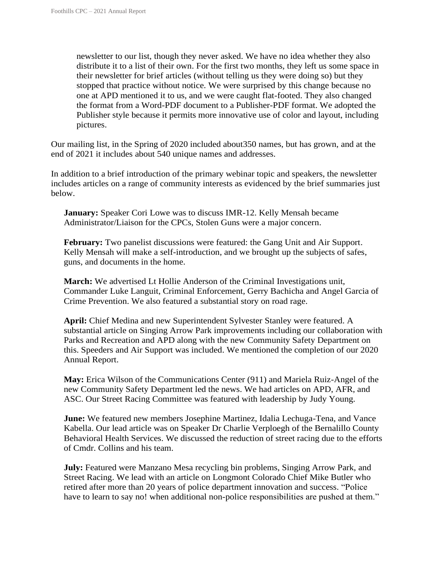newsletter to our list, though they never asked. We have no idea whether they also distribute it to a list of their own. For the first two months, they left us some space in their newsletter for brief articles (without telling us they were doing so) but they stopped that practice without notice. We were surprised by this change because no one at APD mentioned it to us, and we were caught flat-footed. They also changed the format from a Word-PDF document to a Publisher-PDF format. We adopted the Publisher style because it permits more innovative use of color and layout, including pictures.

Our mailing list, in the Spring of 2020 included about350 names, but has grown, and at the end of 2021 it includes about 540 unique names and addresses.

In addition to a brief introduction of the primary webinar topic and speakers, the newsletter includes articles on a range of community interests as evidenced by the brief summaries just below.

**January:** Speaker Cori Lowe was to discuss IMR-12. Kelly Mensah became Administrator/Liaison for the CPCs, Stolen Guns were a major concern.

**February:** Two panelist discussions were featured: the Gang Unit and Air Support. Kelly Mensah will make a self-introduction, and we brought up the subjects of safes, guns, and documents in the home.

**March:** We advertised Lt Hollie Anderson of the Criminal Investigations unit, Commander Luke Languit, Criminal Enforcement, Gerry Bachicha and Angel Garcia of Crime Prevention. We also featured a substantial story on road rage.

**April:** Chief Medina and new Superintendent Sylvester Stanley were featured. A substantial article on Singing Arrow Park improvements including our collaboration with Parks and Recreation and APD along with the new Community Safety Department on this. Speeders and Air Support was included. We mentioned the completion of our 2020 Annual Report.

**May:** Erica Wilson of the Communications Center (911) and Mariela Ruiz-Angel of the new Community Safety Department led the news. We had articles on APD, AFR, and ASC. Our Street Racing Committee was featured with leadership by Judy Young.

**June:** We featured new members Josephine Martinez, Idalia Lechuga-Tena, and Vance Kabella. Our lead article was on Speaker Dr Charlie Verploegh of the Bernalillo County Behavioral Health Services. We discussed the reduction of street racing due to the efforts of Cmdr. Collins and his team.

**July:** Featured were Manzano Mesa recycling bin problems, Singing Arrow Park, and Street Racing. We lead with an article on Longmont Colorado Chief Mike Butler who retired after more than 20 years of police department innovation and success. "Police have to learn to say no! when additional non-police responsibilities are pushed at them."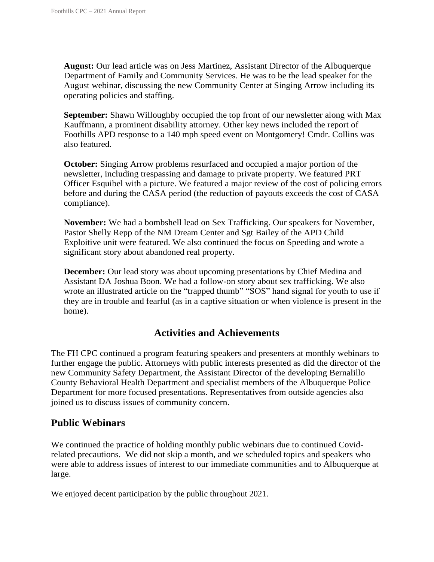**August:** Our lead article was on Jess Martinez, Assistant Director of the Albuquerque Department of Family and Community Services. He was to be the lead speaker for the August webinar, discussing the new Community Center at Singing Arrow including its operating policies and staffing.

**September:** Shawn Willoughby occupied the top front of our newsletter along with Max Kauffmann, a prominent disability attorney. Other key news included the report of Foothills APD response to a 140 mph speed event on Montgomery! Cmdr. Collins was also featured.

**October:** Singing Arrow problems resurfaced and occupied a major portion of the newsletter, including trespassing and damage to private property. We featured PRT Officer Esquibel with a picture. We featured a major review of the cost of policing errors before and during the CASA period (the reduction of payouts exceeds the cost of CASA compliance).

**November:** We had a bombshell lead on Sex Trafficking. Our speakers for November, Pastor Shelly Repp of the NM Dream Center and Sgt Bailey of the APD Child Exploitive unit were featured. We also continued the focus on Speeding and wrote a significant story about abandoned real property.

**December:** Our lead story was about upcoming presentations by Chief Medina and Assistant DA Joshua Boon. We had a follow-on story about sex trafficking. We also wrote an illustrated article on the "trapped thumb" "SOS" hand signal for youth to use if they are in trouble and fearful (as in a captive situation or when violence is present in the home).

## **Activities and Achievements**

The FH CPC continued a program featuring speakers and presenters at monthly webinars to further engage the public. Attorneys with public interests presented as did the director of the new Community Safety Department, the Assistant Director of the developing Bernalillo County Behavioral Health Department and specialist members of the Albuquerque Police Department for more focused presentations. Representatives from outside agencies also joined us to discuss issues of community concern.

## **Public Webinars**

We continued the practice of holding monthly public webinars due to continued Covidrelated precautions. We did not skip a month, and we scheduled topics and speakers who were able to address issues of interest to our immediate communities and to Albuquerque at large.

We enjoyed decent participation by the public throughout 2021.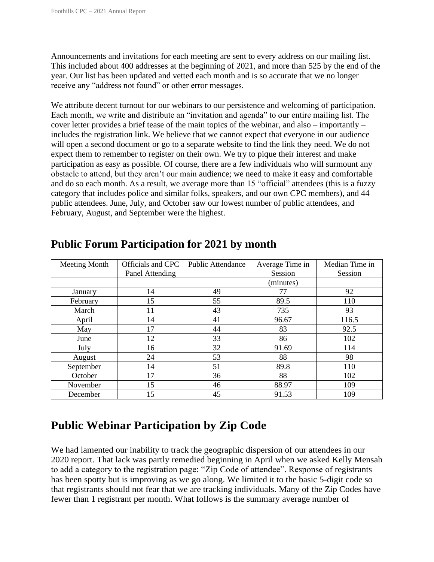Announcements and invitations for each meeting are sent to every address on our mailing list. This included about 400 addresses at the beginning of 2021, and more than 525 by the end of the year. Our list has been updated and vetted each month and is so accurate that we no longer receive any "address not found" or other error messages.

We attribute decent turnout for our webinars to our persistence and welcoming of participation. Each month, we write and distribute an "invitation and agenda" to our entire mailing list. The cover letter provides a brief tease of the main topics of the webinar, and also – importantly – includes the registration link. We believe that we cannot expect that everyone in our audience will open a second document or go to a separate website to find the link they need. We do not expect them to remember to register on their own. We try to pique their interest and make participation as easy as possible. Of course, there are a few individuals who will surmount any obstacle to attend, but they aren't our main audience; we need to make it easy and comfortable and do so each month. As a result, we average more than 15 "official" attendees (this is a fuzzy category that includes police and similar folks, speakers, and our own CPC members), and 44 public attendees. June, July, and October saw our lowest number of public attendees, and February, August, and September were the highest.

| Meeting Month | Officials and CPC | <b>Public Attendance</b> | Average Time in | Median Time in |
|---------------|-------------------|--------------------------|-----------------|----------------|
|               | Panel Attending   |                          | Session         | Session        |
|               |                   |                          | (minutes)       |                |
| January       | 14                | 49                       | 77              | 92             |
| February      | 15                | 55                       | 89.5            | 110            |
| March         | 11                | 43                       | 735             | 93             |
| April         | 14                | 41                       | 96.67           | 116.5          |
| May           | 17                | 44                       | 83              | 92.5           |
| June          | 12                | 33                       | 86              | 102            |
| July          | 16                | 32                       | 91.69           | 114            |
| August        | 24                | 53                       | 88              | 98             |
| September     | 14                | 51                       | 89.8            | 110            |
| October       | 17                | 36                       | 88              | 102            |
| November      | 15                | 46                       | 88.97           | 109            |
| December      | 15                | 45                       | 91.53           | 109            |

# **Public Forum Participation for 2021 by month**

# **Public Webinar Participation by Zip Code**

We had lamented our inability to track the geographic dispersion of our attendees in our 2020 report. That lack was partly remedied beginning in April when we asked Kelly Mensah to add a category to the registration page: "Zip Code of attendee". Response of registrants has been spotty but is improving as we go along. We limited it to the basic 5-digit code so that registrants should not fear that we are tracking individuals. Many of the Zip Codes have fewer than 1 registrant per month. What follows is the summary average number of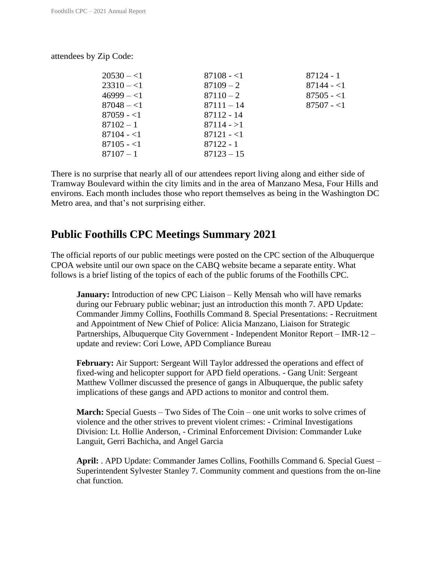| $20530 - 1$ | $87108 - 1$  | 87124 - 1   |
|-------------|--------------|-------------|
| $23310 - 1$ | $87109 - 2$  | $87144 - 1$ |
| $46999 - 1$ | $87110 - 2$  | $87505 - 1$ |
| $87048 - 1$ | $87111 - 14$ | $87507 - 1$ |
| $87059 - 1$ | 87112 - 14   |             |
| $87102 - 1$ | $87114 - 1$  |             |
| $87104 - 1$ | $87121 - 1$  |             |
| $87105 - 1$ | $87122 - 1$  |             |
| $87107 - 1$ | $87123 - 15$ |             |
|             |              |             |

There is no surprise that nearly all of our attendees report living along and either side of Tramway Boulevard within the city limits and in the area of Manzano Mesa, Four Hills and environs. Each month includes those who report themselves as being in the Washington DC Metro area, and that's not surprising either.

# **Public Foothills CPC Meetings Summary 2021**

The official reports of our public meetings were posted on the CPC section of the Albuquerque CPOA website until our own space on the CABQ website became a separate entity. What follows is a brief listing of the topics of each of the public forums of the Foothills CPC.

**January:** Introduction of new CPC Liaison – Kelly Mensah who will have remarks during our February public webinar; just an introduction this month 7. APD Update: Commander Jimmy Collins, Foothills Command 8. Special Presentations: - Recruitment and Appointment of New Chief of Police: Alicia Manzano, Liaison for Strategic Partnerships, Albuquerque City Government - Independent Monitor Report – IMR-12 – update and review: Cori Lowe, APD Compliance Bureau

**February:** Air Support: Sergeant Will Taylor addressed the operations and effect of fixed-wing and helicopter support for APD field operations. - Gang Unit: Sergeant Matthew Vollmer discussed the presence of gangs in Albuquerque, the public safety implications of these gangs and APD actions to monitor and control them.

**March:** Special Guests – Two Sides of The Coin – one unit works to solve crimes of violence and the other strives to prevent violent crimes: - Criminal Investigations Division: Lt. Hollie Anderson, - Criminal Enforcement Division: Commander Luke Languit, Gerri Bachicha, and Angel Garcia

**April:** . APD Update: Commander James Collins, Foothills Command 6. Special Guest – Superintendent Sylvester Stanley 7. Community comment and questions from the on-line chat function.

attendees by Zip Code: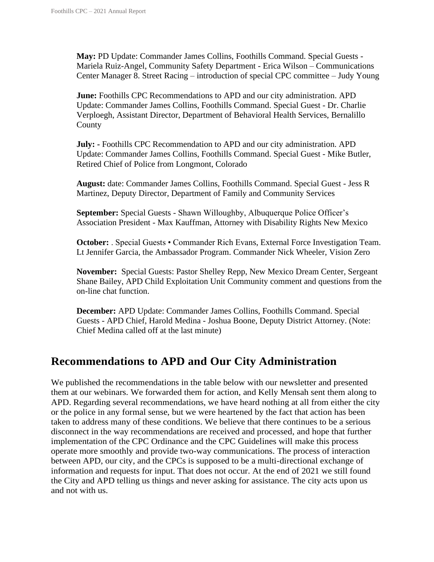**May:** PD Update: Commander James Collins, Foothills Command. Special Guests - Mariela Ruiz-Angel, Community Safety Department - Erica Wilson – Communications Center Manager 8. Street Racing – introduction of special CPC committee – Judy Young

**June:** Foothills CPC Recommendations to APD and our city administration. APD Update: Commander James Collins, Foothills Command. Special Guest - Dr. Charlie Verploegh, Assistant Director, Department of Behavioral Health Services, Bernalillo County

**July: -** Foothills CPC Recommendation to APD and our city administration. APD Update: Commander James Collins, Foothills Command. Special Guest - Mike Butler, Retired Chief of Police from Longmont, Colorado

**August:** date: Commander James Collins, Foothills Command. Special Guest - Jess R Martinez, Deputy Director, Department of Family and Community Services

**September:** Special Guests - Shawn Willoughby, Albuquerque Police Officer's Association President - Max Kauffman, Attorney with Disability Rights New Mexico

**October:** . Special Guests • Commander Rich Evans, External Force Investigation Team. Lt Jennifer Garcia, the Ambassador Program. Commander Nick Wheeler, Vision Zero

**November:** Special Guests: Pastor Shelley Repp, New Mexico Dream Center, Sergeant Shane Bailey, APD Child Exploitation Unit Community comment and questions from the on-line chat function.

**December:** APD Update: Commander James Collins, Foothills Command. Special Guests - APD Chief, Harold Medina - Joshua Boone, Deputy District Attorney. (Note: Chief Medina called off at the last minute)

# **Recommendations to APD and Our City Administration**

We published the recommendations in the table below with our newsletter and presented them at our webinars. We forwarded them for action, and Kelly Mensah sent them along to APD. Regarding several recommendations, we have heard nothing at all from either the city or the police in any formal sense, but we were heartened by the fact that action has been taken to address many of these conditions. We believe that there continues to be a serious disconnect in the way recommendations are received and processed, and hope that further implementation of the CPC Ordinance and the CPC Guidelines will make this process operate more smoothly and provide two-way communications. The process of interaction between APD, our city, and the CPCs is supposed to be a multi-directional exchange of information and requests for input. That does not occur. At the end of 2021 we still found the City and APD telling us things and never asking for assistance. The city acts upon us and not with us.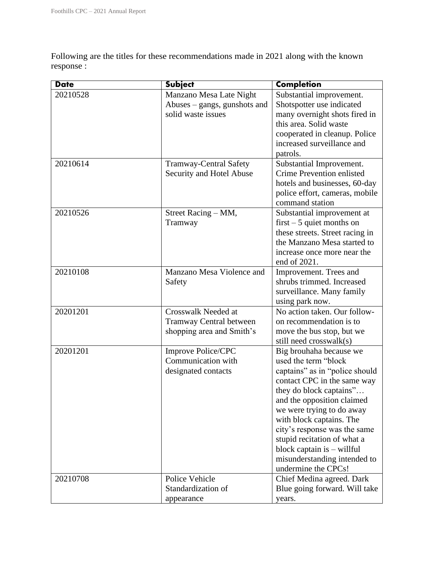Following are the titles for these recommendations made in 2021 along with the known response :

| <b>Date</b> | <b>Subject</b>                                                                     | <b>Completion</b>                                                                                                                                                                                                                                                                                                                                                                        |
|-------------|------------------------------------------------------------------------------------|------------------------------------------------------------------------------------------------------------------------------------------------------------------------------------------------------------------------------------------------------------------------------------------------------------------------------------------------------------------------------------------|
| 20210528    | Manzano Mesa Late Night<br>Abuses – gangs, gunshots and<br>solid waste issues      | Substantial improvement.<br>Shotspotter use indicated<br>many overnight shots fired in<br>this area. Solid waste<br>cooperated in cleanup. Police<br>increased surveillance and<br>patrols.                                                                                                                                                                                              |
| 20210614    | <b>Tramway-Central Safety</b><br>Security and Hotel Abuse                          | Substantial Improvement.<br>Crime Prevention enlisted<br>hotels and businesses, 60-day<br>police effort, cameras, mobile<br>command station                                                                                                                                                                                                                                              |
| 20210526    | Street Racing – MM,<br>Tramway                                                     | Substantial improvement at<br>$first - 5$ quiet months on<br>these streets. Street racing in<br>the Manzano Mesa started to<br>increase once more near the<br>end of 2021.                                                                                                                                                                                                               |
| 20210108    | Manzano Mesa Violence and<br>Safety                                                | Improvement. Trees and<br>shrubs trimmed. Increased<br>surveillance. Many family<br>using park now.                                                                                                                                                                                                                                                                                      |
| 20201201    | Crosswalk Needed at<br><b>Tramway Central between</b><br>shopping area and Smith's | No action taken. Our follow-<br>on recommendation is to<br>move the bus stop, but we<br>still need crosswalk(s)                                                                                                                                                                                                                                                                          |
| 20201201    | Improve Police/CPC<br>Communication with<br>designated contacts                    | Big brouhaha because we<br>used the term "block<br>captains" as in "police should<br>contact CPC in the same way<br>they do block captains"<br>and the opposition claimed<br>we were trying to do away<br>with block captains. The<br>city's response was the same<br>stupid recitation of what a<br>block captain $is -$ willful<br>misunderstanding intended to<br>undermine the CPCs! |
| 20210708    | Police Vehicle<br>Standardization of<br>appearance                                 | Chief Medina agreed. Dark<br>Blue going forward. Will take<br>years.                                                                                                                                                                                                                                                                                                                     |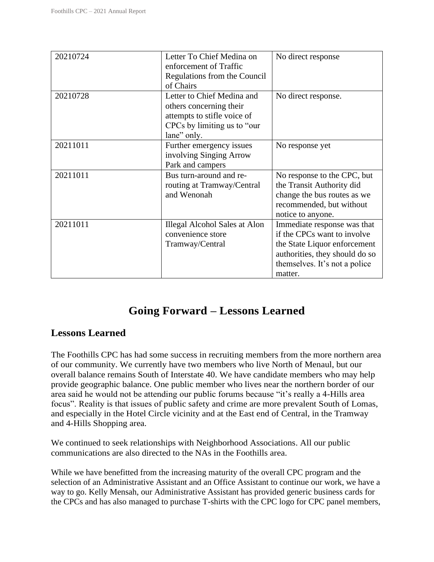| 20210724 | Letter To Chief Medina on<br>enforcement of Traffic<br>Regulations from the Council<br>of Chairs                                   | No direct response                                                                                                                                                       |
|----------|------------------------------------------------------------------------------------------------------------------------------------|--------------------------------------------------------------------------------------------------------------------------------------------------------------------------|
| 20210728 | Letter to Chief Medina and<br>others concerning their<br>attempts to stifle voice of<br>CPCs by limiting us to "our<br>lane" only. | No direct response.                                                                                                                                                      |
| 20211011 | Further emergency issues<br>involving Singing Arrow<br>Park and campers                                                            | No response yet                                                                                                                                                          |
| 20211011 | Bus turn-around and re-<br>routing at Tramway/Central<br>and Wenonah                                                               | No response to the CPC, but<br>the Transit Authority did<br>change the bus routes as we<br>recommended, but without<br>notice to anyone.                                 |
| 20211011 | Illegal Alcohol Sales at Alon<br>convenience store<br>Tramway/Central                                                              | Immediate response was that<br>if the CPCs want to involve<br>the State Liquor enforcement<br>authorities, they should do so<br>themselves. It's not a police<br>matter. |

# **Going Forward – Lessons Learned**

## **Lessons Learned**

The Foothills CPC has had some success in recruiting members from the more northern area of our community. We currently have two members who live North of Menaul, but our overall balance remains South of Interstate 40. We have candidate members who may help provide geographic balance. One public member who lives near the northern border of our area said he would not be attending our public forums because "it's really a 4-Hills area focus". Reality is that issues of public safety and crime are more prevalent South of Lomas, and especially in the Hotel Circle vicinity and at the East end of Central, in the Tramway and 4-Hills Shopping area.

We continued to seek relationships with Neighborhood Associations. All our public communications are also directed to the NAs in the Foothills area.

While we have benefitted from the increasing maturity of the overall CPC program and the selection of an Administrative Assistant and an Office Assistant to continue our work, we have a way to go. Kelly Mensah, our Administrative Assistant has provided generic business cards for the CPCs and has also managed to purchase T-shirts with the CPC logo for CPC panel members,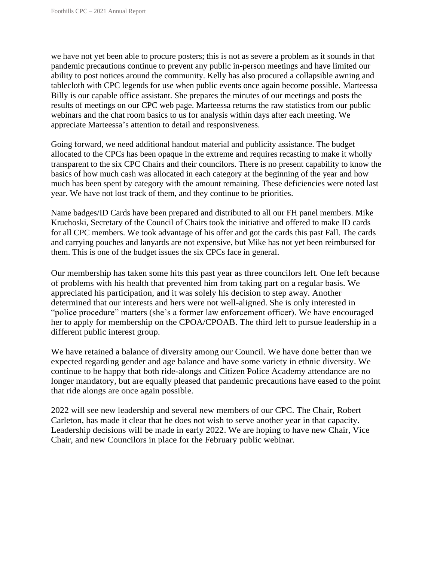we have not yet been able to procure posters; this is not as severe a problem as it sounds in that pandemic precautions continue to prevent any public in-person meetings and have limited our ability to post notices around the community. Kelly has also procured a collapsible awning and tablecloth with CPC legends for use when public events once again become possible. Marteessa Billy is our capable office assistant. She prepares the minutes of our meetings and posts the results of meetings on our CPC web page. Marteessa returns the raw statistics from our public webinars and the chat room basics to us for analysis within days after each meeting. We appreciate Marteessa's attention to detail and responsiveness.

Going forward, we need additional handout material and publicity assistance. The budget allocated to the CPCs has been opaque in the extreme and requires recasting to make it wholly transparent to the six CPC Chairs and their councilors. There is no present capability to know the basics of how much cash was allocated in each category at the beginning of the year and how much has been spent by category with the amount remaining. These deficiencies were noted last year. We have not lost track of them, and they continue to be priorities.

Name badges/ID Cards have been prepared and distributed to all our FH panel members. Mike Kruchoski, Secretary of the Council of Chairs took the initiative and offered to make ID cards for all CPC members. We took advantage of his offer and got the cards this past Fall. The cards and carrying pouches and lanyards are not expensive, but Mike has not yet been reimbursed for them. This is one of the budget issues the six CPCs face in general.

Our membership has taken some hits this past year as three councilors left. One left because of problems with his health that prevented him from taking part on a regular basis. We appreciated his participation, and it was solely his decision to step away. Another determined that our interests and hers were not well-aligned. She is only interested in "police procedure" matters (she's a former law enforcement officer). We have encouraged her to apply for membership on the CPOA/CPOAB. The third left to pursue leadership in a different public interest group.

We have retained a balance of diversity among our Council. We have done better than we expected regarding gender and age balance and have some variety in ethnic diversity. We continue to be happy that both ride-alongs and Citizen Police Academy attendance are no longer mandatory, but are equally pleased that pandemic precautions have eased to the point that ride alongs are once again possible.

2022 will see new leadership and several new members of our CPC. The Chair, Robert Carleton, has made it clear that he does not wish to serve another year in that capacity. Leadership decisions will be made in early 2022. We are hoping to have new Chair, Vice Chair, and new Councilors in place for the February public webinar.